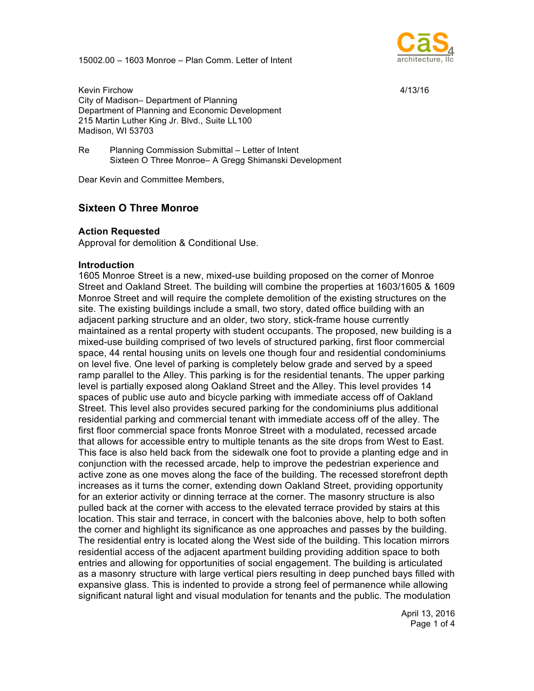15002.00 – 1603 Monroe – Plan Comm. Letter of Intent



Kevin Firchow 4/13/16 City of Madison– Department of Planning Department of Planning and Economic Development 215 Martin Luther King Jr. Blvd., Suite LL100 Madison, WI 53703

Re Planning Commission Submittal – Letter of Intent Sixteen O Three Monroe– A Gregg Shimanski Development

Dear Kevin and Committee Members,

# **Sixteen O Three Monroe**

#### **Action Requested**

Approval for demolition & Conditional Use.

#### **Introduction**

1605 Monroe Street is a new, mixed-use building proposed on the corner of Monroe Street and Oakland Street. The building will combine the properties at 1603/1605 & 1609 Monroe Street and will require the complete demolition of the existing structures on the site. The existing buildings include a small, two story, dated office building with an adjacent parking structure and an older, two story, stick-frame house currently maintained as a rental property with student occupants. The proposed, new building is a mixed-use building comprised of two levels of structured parking, first floor commercial space, 44 rental housing units on levels one though four and residential condominiums on level five. One level of parking is completely below grade and served by a speed ramp parallel to the Alley. This parking is for the residential tenants. The upper parking level is partially exposed along Oakland Street and the Alley. This level provides 14 spaces of public use auto and bicycle parking with immediate access off of Oakland Street. This level also provides secured parking for the condominiums plus additional residential parking and commercial tenant with immediate access off of the alley. The first floor commercial space fronts Monroe Street with a modulated, recessed arcade that allows for accessible entry to multiple tenants as the site drops from West to East. This face is also held back from the sidewalk one foot to provide a planting edge and in conjunction with the recessed arcade, help to improve the pedestrian experience and active zone as one moves along the face of the building. The recessed storefront depth increases as it turns the corner, extending down Oakland Street, providing opportunity for an exterior activity or dinning terrace at the corner. The masonry structure is also pulled back at the corner with access to the elevated terrace provided by stairs at this location. This stair and terrace, in concert with the balconies above, help to both soften the corner and highlight its significance as one approaches and passes by the building. The residential entry is located along the West side of the building. This location mirrors residential access of the adjacent apartment building providing addition space to both entries and allowing for opportunities of social engagement. The building is articulated as a masonry structure with large vertical piers resulting in deep punched bays filled with expansive glass. This is indented to provide a strong feel of permanence while allowing significant natural light and visual modulation for tenants and the public. The modulation

> April 13, 2016 Page 1 of 4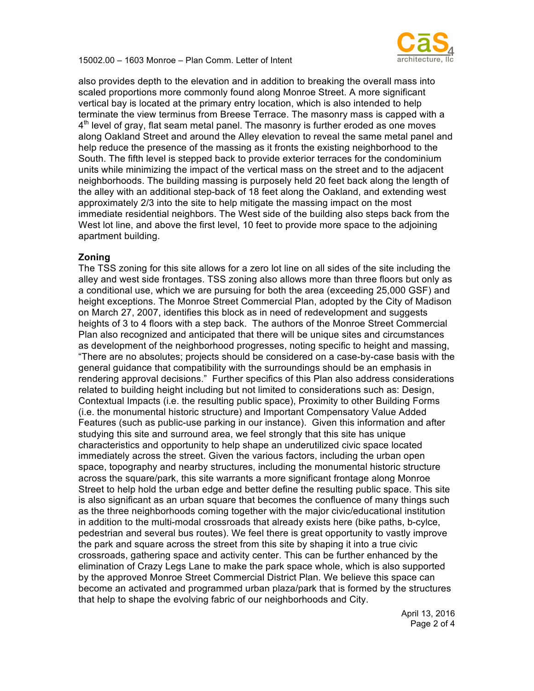

15002.00 – 1603 Monroe – Plan Comm. Letter of Intent

also provides depth to the elevation and in addition to breaking the overall mass into scaled proportions more commonly found along Monroe Street. A more significant vertical bay is located at the primary entry location, which is also intended to help terminate the view terminus from Breese Terrace. The masonry mass is capped with a  $4<sup>th</sup>$  level of gray, flat seam metal panel. The masonry is further eroded as one moves along Oakland Street and around the Alley elevation to reveal the same metal panel and help reduce the presence of the massing as it fronts the existing neighborhood to the South. The fifth level is stepped back to provide exterior terraces for the condominium units while minimizing the impact of the vertical mass on the street and to the adjacent neighborhoods. The building massing is purposely held 20 feet back along the length of the alley with an additional step-back of 18 feet along the Oakland, and extending west approximately 2/3 into the site to help mitigate the massing impact on the most immediate residential neighbors. The West side of the building also steps back from the West lot line, and above the first level, 10 feet to provide more space to the adjoining apartment building.

## **Zoning**

The TSS zoning for this site allows for a zero lot line on all sides of the site including the alley and west side frontages. TSS zoning also allows more than three floors but only as a conditional use, which we are pursuing for both the area (exceeding 25,000 GSF) and height exceptions. The Monroe Street Commercial Plan, adopted by the City of Madison on March 27, 2007, identifies this block as in need of redevelopment and suggests heights of 3 to 4 floors with a step back. The authors of the Monroe Street Commercial Plan also recognized and anticipated that there will be unique sites and circumstances as development of the neighborhood progresses, noting specific to height and massing, "There are no absolutes; projects should be considered on a case-by-case basis with the general guidance that compatibility with the surroundings should be an emphasis in rendering approval decisions." Further specifics of this Plan also address considerations related to building height including but not limited to considerations such as: Design, Contextual Impacts (i.e. the resulting public space), Proximity to other Building Forms (i.e. the monumental historic structure) and Important Compensatory Value Added Features (such as public-use parking in our instance). Given this information and after studying this site and surround area, we feel strongly that this site has unique characteristics and opportunity to help shape an underutilized civic space located immediately across the street. Given the various factors, including the urban open space, topography and nearby structures, including the monumental historic structure across the square/park, this site warrants a more significant frontage along Monroe Street to help hold the urban edge and better define the resulting public space. This site is also significant as an urban square that becomes the confluence of many things such as the three neighborhoods coming together with the major civic/educational institution in addition to the multi-modal crossroads that already exists here (bike paths, b-cylce, pedestrian and several bus routes). We feel there is great opportunity to vastly improve the park and square across the street from this site by shaping it into a true civic crossroads, gathering space and activity center. This can be further enhanced by the elimination of Crazy Legs Lane to make the park space whole, which is also supported by the approved Monroe Street Commercial District Plan. We believe this space can become an activated and programmed urban plaza/park that is formed by the structures that help to shape the evolving fabric of our neighborhoods and City.

> April 13, 2016 Page 2 of 4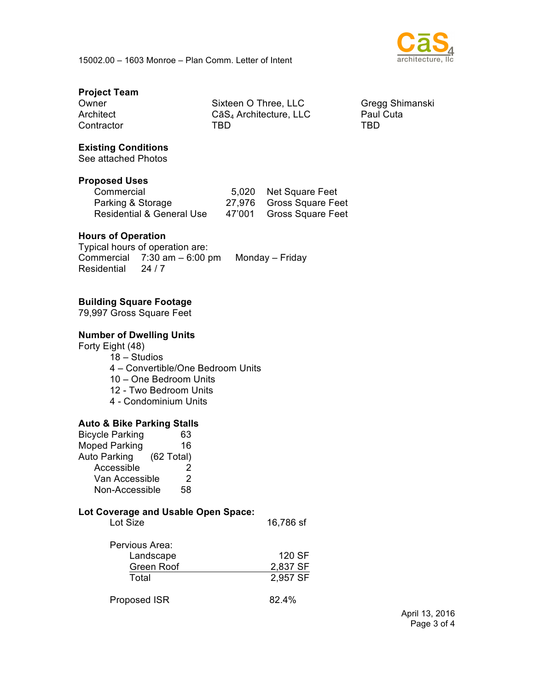

## **Project Team**

Contractor

Owner Sixteen O Three, LLC Gregg Shimanski Architect CāS<sub>4</sub> Architecture, LLC Paul Cuta<br>Contractor TBD TBD TBD

## **Existing Conditions**

See attached Photos

#### **Proposed Uses**

| Commercial                |        | 5,020 Net Square Feet    |
|---------------------------|--------|--------------------------|
| Parking & Storage         |        | 27,976 Gross Square Feet |
| Residential & General Use | 47'001 | <b>Gross Square Feet</b> |

## **Hours of Operation**

Typical hours of operation are: Commercial 7:30 am – 6:00 pm Monday – Friday Residential 24 / 7

## **Building Square Footage**

79,997 Gross Square Feet

#### **Number of Dwelling Units**

Forty Eight (48) 18 – Studios 4 – Convertible/One Bedroom Units 10 – One Bedroom Units 12 - Two Bedroom Units 4 - Condominium Units

#### **Auto & Bike Parking Stalls**

| <b>Bicycle Parking</b> | 63                   |
|------------------------|----------------------|
| <b>Moped Parking</b>   | 16                   |
| Auto Parking           | $(62 \text{ Total})$ |
| Accessible             | 2                    |
| Van Accessible         | 2                    |
| Non-Accessible         | 58                   |

#### **Lot Coverage and Usable Open Space:**

| Lot Size       | 16,786 sf |
|----------------|-----------|
| Pervious Area: |           |

| u viuus Alua. |          |
|---------------|----------|
| Landscape     | 120 SF   |
| Green Roof    | 2,837 SF |
| Total         | 2,957 SF |
|               |          |

| <b>Proposed ISR</b> | 82.4% |
|---------------------|-------|
|---------------------|-------|